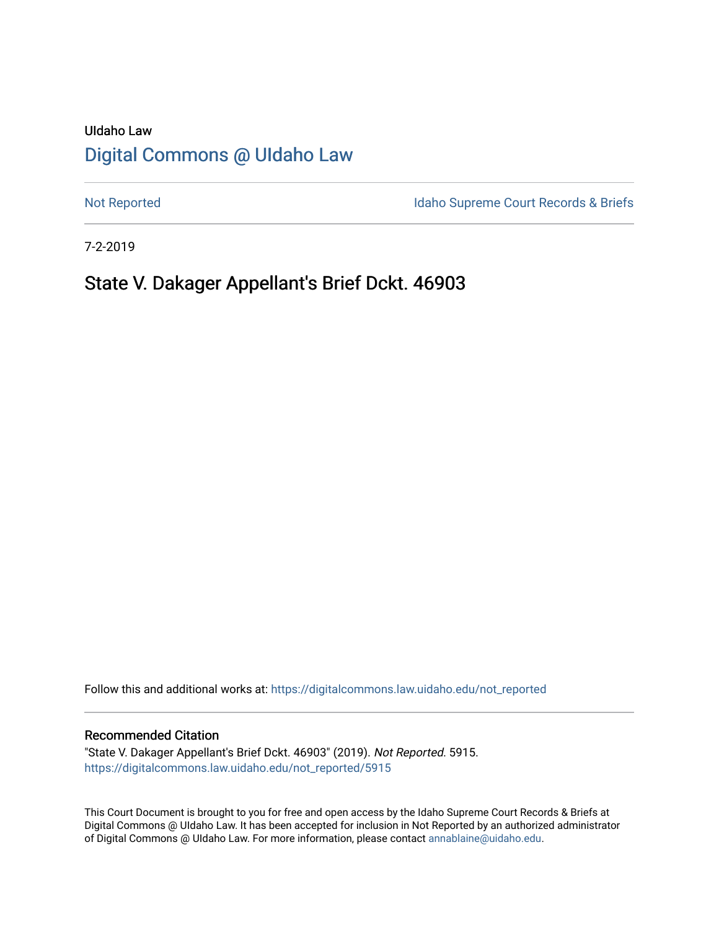# UIdaho Law [Digital Commons @ UIdaho Law](https://digitalcommons.law.uidaho.edu/)

[Not Reported](https://digitalcommons.law.uidaho.edu/not_reported) **Idaho Supreme Court Records & Briefs** 

7-2-2019

# State V. Dakager Appellant's Brief Dckt. 46903

Follow this and additional works at: [https://digitalcommons.law.uidaho.edu/not\\_reported](https://digitalcommons.law.uidaho.edu/not_reported?utm_source=digitalcommons.law.uidaho.edu%2Fnot_reported%2F5915&utm_medium=PDF&utm_campaign=PDFCoverPages) 

#### Recommended Citation

"State V. Dakager Appellant's Brief Dckt. 46903" (2019). Not Reported. 5915. [https://digitalcommons.law.uidaho.edu/not\\_reported/5915](https://digitalcommons.law.uidaho.edu/not_reported/5915?utm_source=digitalcommons.law.uidaho.edu%2Fnot_reported%2F5915&utm_medium=PDF&utm_campaign=PDFCoverPages)

This Court Document is brought to you for free and open access by the Idaho Supreme Court Records & Briefs at Digital Commons @ UIdaho Law. It has been accepted for inclusion in Not Reported by an authorized administrator of Digital Commons @ UIdaho Law. For more information, please contact [annablaine@uidaho.edu](mailto:annablaine@uidaho.edu).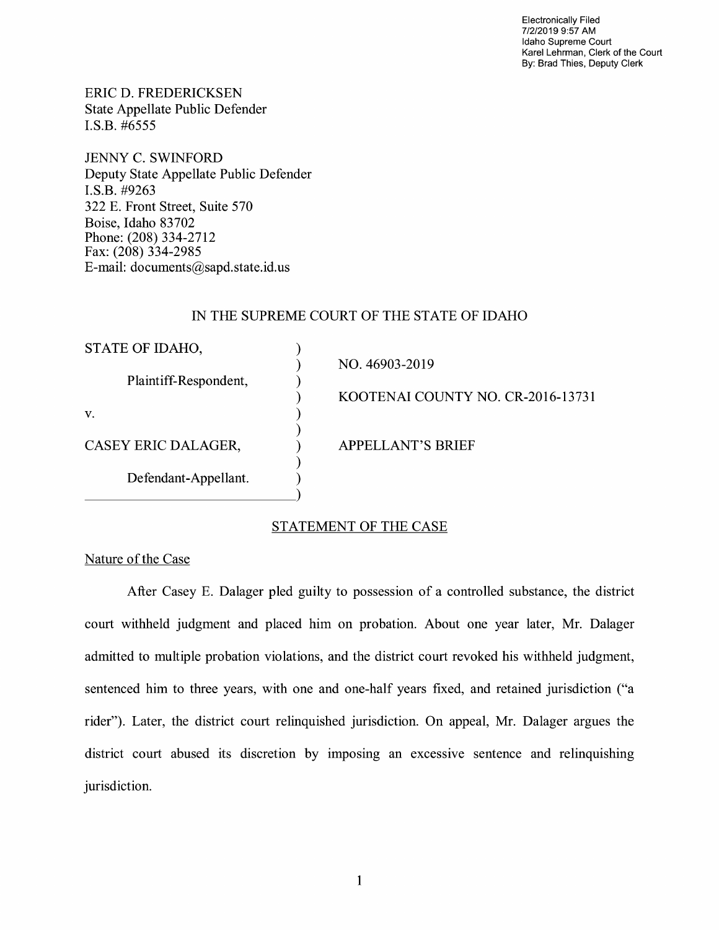Electronically Filed 7/2/2019 9:57 AM Idaho Supreme Court Karel Lehrman, Clerk of the Court By: Brad Thies, Deputy Clerk

ERIC D. FREDERICKSEN State Appellate Public Defender I.S.B. #6555

JENNY C. SWINFORD Deputy State Appellate Public Defender **I.S.B.** #9263 322 E. Front Street, Suite 570 Boise, Idaho 83702 Phone: (208) 334-2712 Fax: (208) 334-2985 E-mail: documents@sapd.state.id. us

#### IN THE SUPREME COURT OF THE STATE OF IDAHO

| STATE OF IDAHO,       |                                   |
|-----------------------|-----------------------------------|
|                       | NO. 46903-2019                    |
| Plaintiff-Respondent, |                                   |
|                       | KOOTENAI COUNTY NO. CR-2016-13731 |
| V.                    |                                   |
|                       |                                   |
| CASEY ERIC DALAGER,   | <b>APPELLANT'S BRIEF</b>          |
|                       |                                   |
| Defendant-Appellant.  |                                   |
|                       |                                   |
|                       |                                   |

#### STATEMENT OF THE CASE

Nature of the Case

After Casey E. Dalager pled guilty to possession of a controlled substance, the district court withheld judgment and placed him on probation. About one year later, Mr. Dalager admitted to multiple probation violations, and the district court revoked his withheld judgment, sentenced him to three years, with one and one-half years fixed, and retained jurisdiction ("a rider"). Later, the district court relinquished jurisdiction. On appeal, Mr. Dalager argues the district court abused its discretion by imposing an excessive sentence and relinquishing jurisdiction.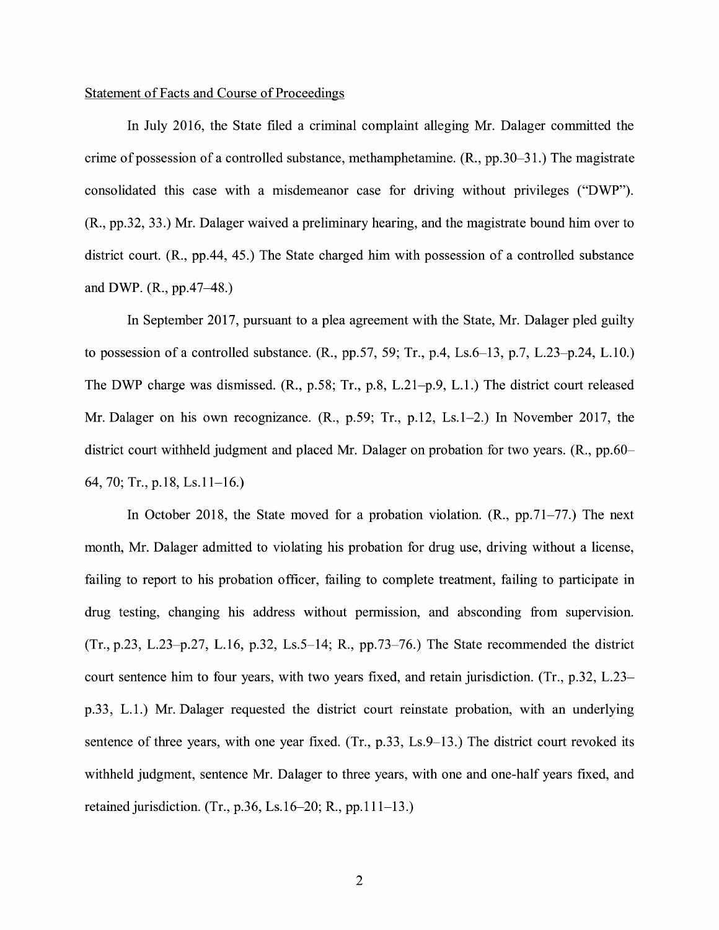#### Statement of Facts and Course of Proceedings

In July 2016, the State filed a criminal complaint alleging Mr. Dalager committed the crime of possession of a controlled substance, methamphetamine.  $(R., pp.30-31.)$  The magistrate consolidated this case with a misdemeanor case for driving without privileges ("DWP"). (R., pp.32, 33.) Mr. Dalager waived a preliminary hearing, and the magistrate bound him over to district court. (R., pp.44, 45.) The State charged him with possession of a controlled substance and DWP. (R., pp.47-48.)

In September 2017, pursuant to a plea agreement with the State, Mr. Dalager pled guilty to possession of a controlled substance. (R., pp.57, 59; Tr., p.4, Ls.6-13, p.7, L.23-p.24, L.10.) The DWP charge was dismissed. (R., p.58; Tr., p.8, L.21-p.9, L.1.) The district court released Mr. Dalager on his own recognizance. **(R.,** p.59; Tr., p.12, Ls.1-2.) In November 2017, the district court withheld judgment and placed Mr. Dalager on probation for two years. **(R.,** pp.60- 64, 70; Tr., p.18, Ls.11-16.)

In October 2018, the State moved for a probation violation. (R., pp.71-77.) The next month, Mr. Dalager admitted to violating his probation for drug use, driving without a license, failing to report to his probation officer, failing to complete treatment, failing to participate in drug testing, changing his address without permission, and absconding from supervision.  $(Tr, p.23, L.23-p.27, L.16, p.32, Ls.5-14; R., pp.73-76.)$  The State recommended the district court sentence him to four years, with two years fixed, and retain jurisdiction. (Tr., p.32, L.23 p.33, L.1.) Mr. Dalager requested the district court reinstate probation, with an underlying sentence of three years, with one year fixed. (Tr., p.33, Ls.9–13.) The district court revoked its withheld judgment, sentence Mr. Dalager to three years, with one and one-half years fixed, and retained jurisdiction. (Tr., p.36, Ls.16-20; R., pp.111-13.)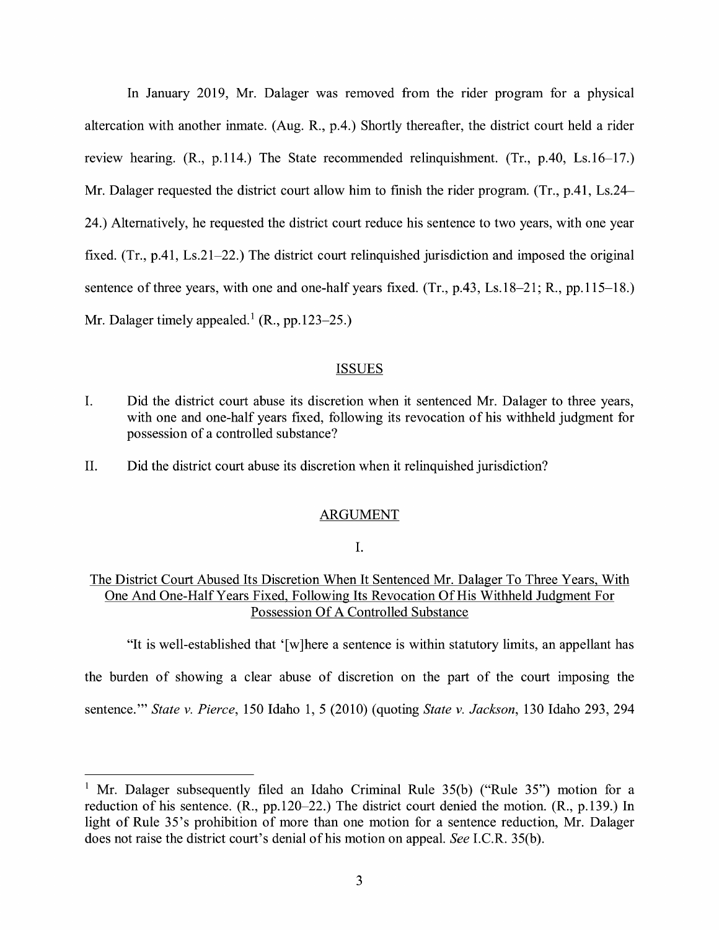In January 2019, Mr. Dalager was removed from the rider program for a physical altercation with another inmate. (Aug. R., p.4.) Shortly thereafter, the district court held a rider review hearing. (R., p.114.) The State recommended relinquishment. (Tr., p.40, Ls.16-17.) Mr. Dalager requested the district court allow him to finish the rider program. (Tr., p.41, Ls.24- 24.) Alternatively, he requested the district court reduce his sentence to two years, with one year fixed. (Tr., p.41, Ls.21-22.) The district court relinquished jurisdiction and imposed the original sentence of three years, with one and one-half years fixed. (Tr., p.43, Ls.18-21; R., pp.115-18.) Mr. Dalager timely appealed.<sup>1</sup> (R., pp.123–25.)

### **ISSUES**

- I. Did the district court abuse its discretion when it sentenced Mr. Dalager to three years, with one and one-half years fixed, following its revocation of his withheld judgment for possession of a controlled substance?
- II. Did the district court abuse its discretion when it relinquished jurisdiction?

#### ARGUMENT

#### I.

### The District Court Abused Its Discretion When It Sentenced Mr. Dalager To Three Years, With One And One-Half Years Fixed, Following Its Revocation Of His Withheld Judgment For Possession Of A Controlled Substance

"It is well-established that ' [ w ]here a sentence is within statutory limits, an appellant has

the burden of showing a clear abuse of discretion on the part of the court imposing the

sentence."' *State v. Pierce,* 150 Idaho 1, 5 (2010) (quoting *State v. Jackson,* 130 Idaho 293, 294

<sup>&</sup>lt;sup>1</sup> Mr. Dalager subsequently filed an Idaho Criminal Rule  $35(b)$  ("Rule  $35$ ") motion for a reduction of his sentence. (R., pp.120-22.) The district court denied the motion. (R., p.139.) In light of Rule 35's prohibition of more than one motion for a sentence reduction, Mr. Dalager does not raise the district court's denial of his motion on appeal. *See* I.C.R. 35(b).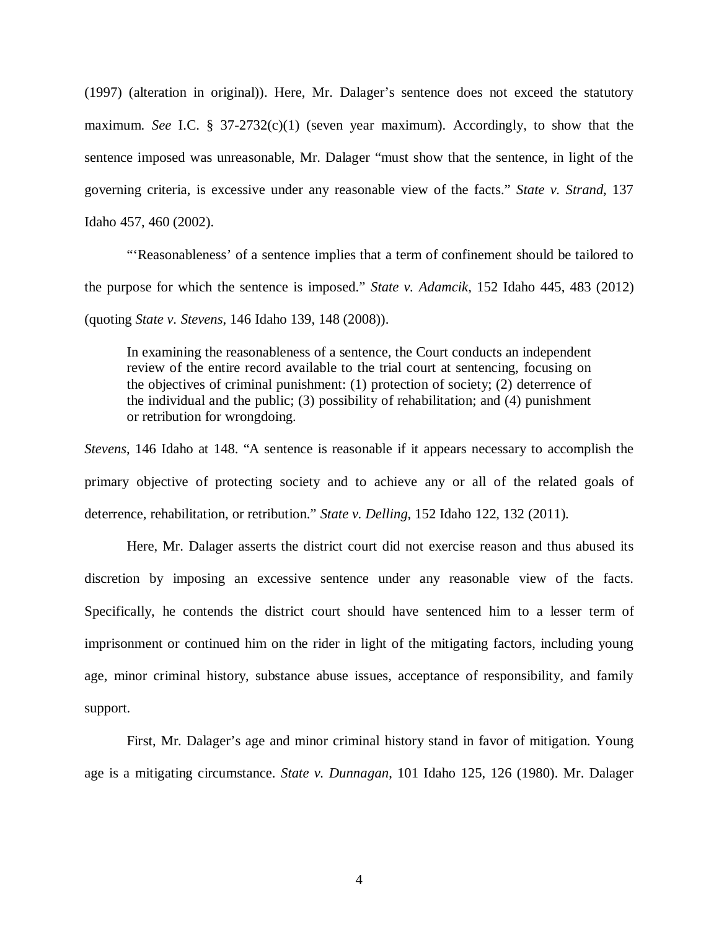(1997) (alteration in original)). Here, Mr. Dalager's sentence does not exceed the statutory maximum. *See* I.C. § 37-2732(c)(1) (seven year maximum). Accordingly, to show that the sentence imposed was unreasonable, Mr. Dalager "must show that the sentence, in light of the governing criteria, is excessive under any reasonable view of the facts." *State v. Strand*, 137 Idaho 457, 460 (2002).

"'Reasonableness' of a sentence implies that a term of confinement should be tailored to the purpose for which the sentence is imposed." *State v. Adamcik*, 152 Idaho 445, 483 (2012) (quoting *State v. Stevens*, 146 Idaho 139, 148 (2008)).

In examining the reasonableness of a sentence, the Court conducts an independent review of the entire record available to the trial court at sentencing, focusing on the objectives of criminal punishment: (1) protection of society; (2) deterrence of the individual and the public; (3) possibility of rehabilitation; and (4) punishment or retribution for wrongdoing.

*Stevens*, 146 Idaho at 148. "A sentence is reasonable if it appears necessary to accomplish the primary objective of protecting society and to achieve any or all of the related goals of deterrence, rehabilitation, or retribution." *State v. Delling*, 152 Idaho 122, 132 (2011).

Here, Mr. Dalager asserts the district court did not exercise reason and thus abused its discretion by imposing an excessive sentence under any reasonable view of the facts. Specifically, he contends the district court should have sentenced him to a lesser term of imprisonment or continued him on the rider in light of the mitigating factors, including young age, minor criminal history, substance abuse issues, acceptance of responsibility, and family support.

First, Mr. Dalager's age and minor criminal history stand in favor of mitigation. Young age is a mitigating circumstance. *State v. Dunnagan*, 101 Idaho 125, 126 (1980). Mr. Dalager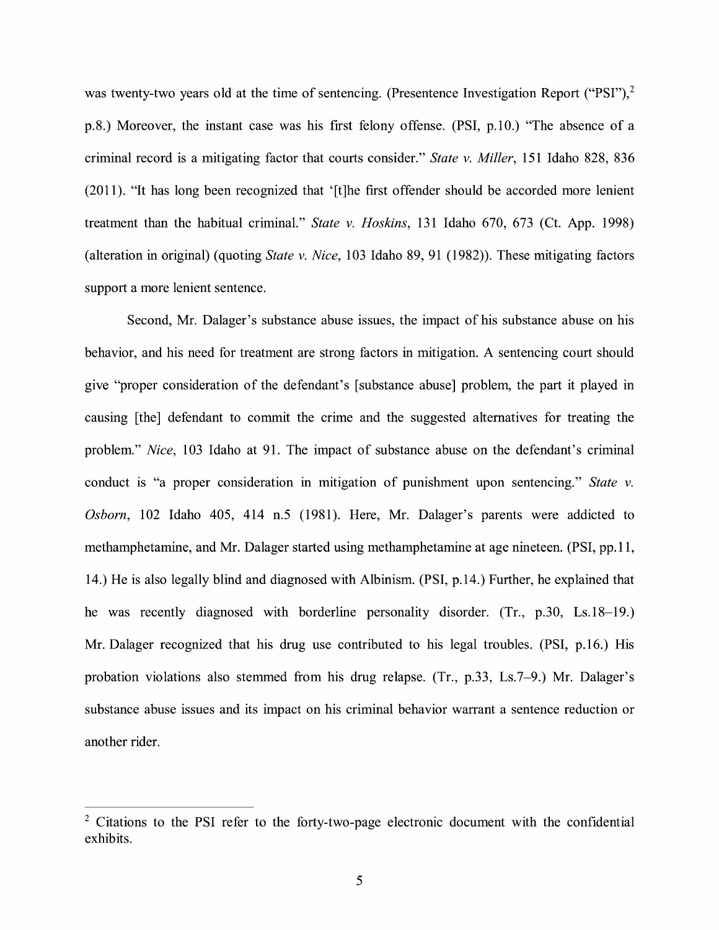was twenty-two years old at the time of sentencing. (Presentence Investigation Report ("PSI"),<sup>2</sup> p.8.) Moreover, the instant case was his first felony offense. (PSI, p.10.) "The absence of a criminal record is a mitigating factor that courts consider." *State v. Miller,* 151 Idaho 828, 836 (2011). "It has long been recognized that '[t]he first offender should be accorded more lenient treatment than the habitual criminal." *State v. Hoskins,* 131 Idaho 670, 673 (Ct. App. 1998) (alteration in original) (quoting *State v. Nice,* 103 Idaho 89, 91 (1982)). These mitigating factors support a more lenient sentence.

Second, Mr. Dalager's substance abuse issues, the impact of his substance abuse on his behavior, and his need for treatment are strong factors in mitigation. A sentencing court should give "proper consideration of the defendant's [substance abuse] problem, the part it played in causing [the] defendant to commit the crime and the suggested alternatives for treating the problem." *Nice,* 103 Idaho at 91. The impact of substance abuse on the defendant's criminal conduct is "a proper consideration in mitigation of punishment upon sentencing." *State v. Osborn,* 102 Idaho 405, 414 n.5 (1981). Here, Mr. Dalager's parents were addicted to methamphetamine, and Mr. Dalager started using methamphetamine at age nineteen. (PSI, pp.11, 14.) He is also legally blind and diagnosed with Albinism. (PSI, p.14.) Further, he explained that he was recently diagnosed with borderline personality disorder. (Tr., p.30, Ls.18-19.) Mr. Dalager recognized that his drug use contributed to his legal troubles. (PSI, p.16.) His probation violations also stemmed from his drug relapse. (Tr., p.33, Ls.7-9.) Mr. Dalager's substance abuse issues and its impact on his criminal behavior warrant a sentence reduction or another rider.

 $2$  Citations to the PSI refer to the forty-two-page electronic document with the confidential exhibits.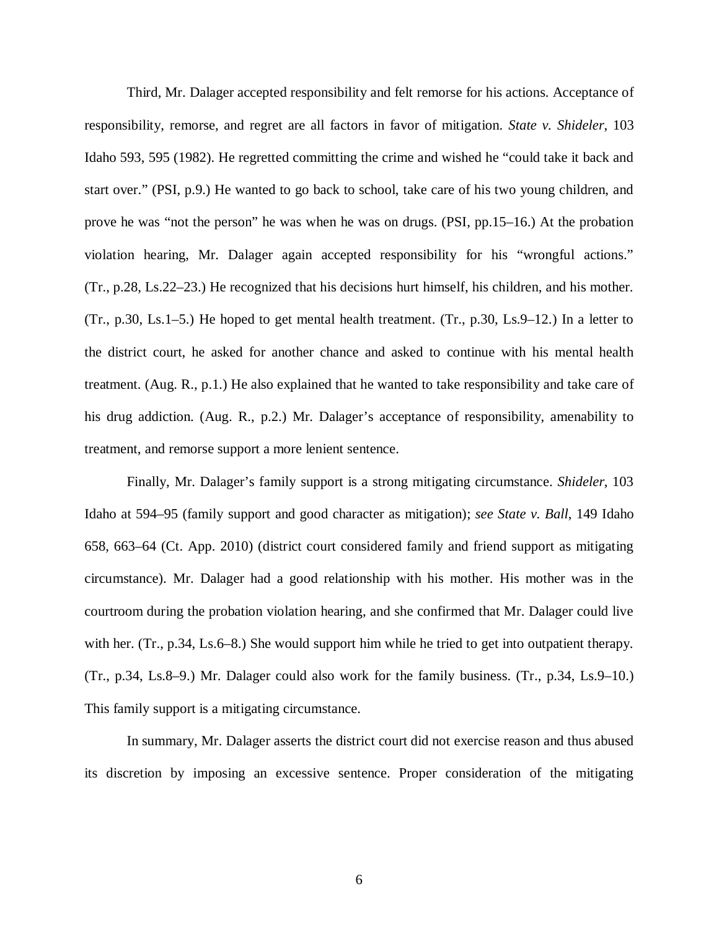Third, Mr. Dalager accepted responsibility and felt remorse for his actions. Acceptance of responsibility, remorse, and regret are all factors in favor of mitigation. *State v. Shideler*, 103 Idaho 593, 595 (1982). He regretted committing the crime and wished he "could take it back and start over." (PSI, p.9.) He wanted to go back to school, take care of his two young children, and prove he was "not the person" he was when he was on drugs. (PSI, pp.15–16.) At the probation violation hearing, Mr. Dalager again accepted responsibility for his "wrongful actions." (Tr., p.28, Ls.22–23.) He recognized that his decisions hurt himself, his children, and his mother. (Tr., p.30, Ls.1–5.) He hoped to get mental health treatment. (Tr., p.30, Ls.9–12.) In a letter to the district court, he asked for another chance and asked to continue with his mental health treatment. (Aug. R., p.1.) He also explained that he wanted to take responsibility and take care of his drug addiction. (Aug. R., p.2.) Mr. Dalager's acceptance of responsibility, amenability to treatment, and remorse support a more lenient sentence.

Finally, Mr. Dalager's family support is a strong mitigating circumstance. *Shideler*, 103 Idaho at 594–95 (family support and good character as mitigation); *see State v. Ball*, 149 Idaho 658, 663–64 (Ct. App. 2010) (district court considered family and friend support as mitigating circumstance). Mr. Dalager had a good relationship with his mother. His mother was in the courtroom during the probation violation hearing, and she confirmed that Mr. Dalager could live with her. (Tr., p.34, Ls.6–8.) She would support him while he tried to get into outpatient therapy. (Tr., p.34, Ls.8–9.) Mr. Dalager could also work for the family business. (Tr., p.34, Ls.9–10.) This family support is a mitigating circumstance.

In summary, Mr. Dalager asserts the district court did not exercise reason and thus abused its discretion by imposing an excessive sentence. Proper consideration of the mitigating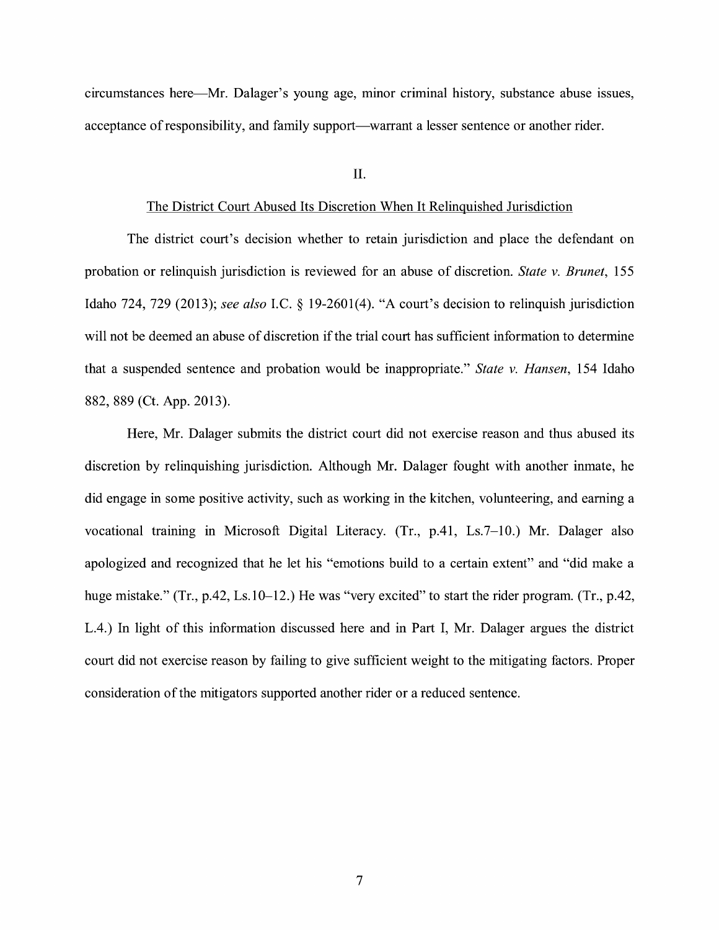circumstances here—Mr. Dalager's young age, minor criminal history, substance abuse issues, acceptance of responsibility, and family support—warrant a lesser sentence or another rider.

#### II.

#### The District Court Abused Its Discretion When It Relinquished Jurisdiction

The district court's decision whether to retain jurisdiction and place the defendant on probation or relinquish jurisdiction is reviewed for an abuse of discretion. *State v. Brunet,* 155 Idaho 724, 729 (2013); *see also* I.C. § 19-2601(4). "A court's decision to relinquish jurisdiction will not be deemed an abuse of discretion if the trial court has sufficient information to determine that a suspended sentence and probation would be inappropriate." *State v. Hansen,* 154 Idaho 882, 889 (Ct. App. 2013).

Here, Mr. Dalager submits the district court did not exercise reason and thus abused its discretion by relinquishing jurisdiction. Although Mr. Dalager fought with another inmate, he did engage in some positive activity, such as working in the kitchen, volunteering, and earning a vocational training in Microsoft Digital Literacy. (Tr., p.41, Ls.7-10.) Mr. Dalager also apologized and recognized that he let his "emotions build to a certain extent" and "did make a huge mistake." (Tr., p.42, Ls.10–12.) He was "very excited" to start the rider program. (Tr., p.42, L.4.) In light of this information discussed here and in Part I, Mr. Dalager argues the district court did not exercise reason by failing to give sufficient weight to the mitigating factors. Proper consideration of the mitigators supported another rider or a reduced sentence.